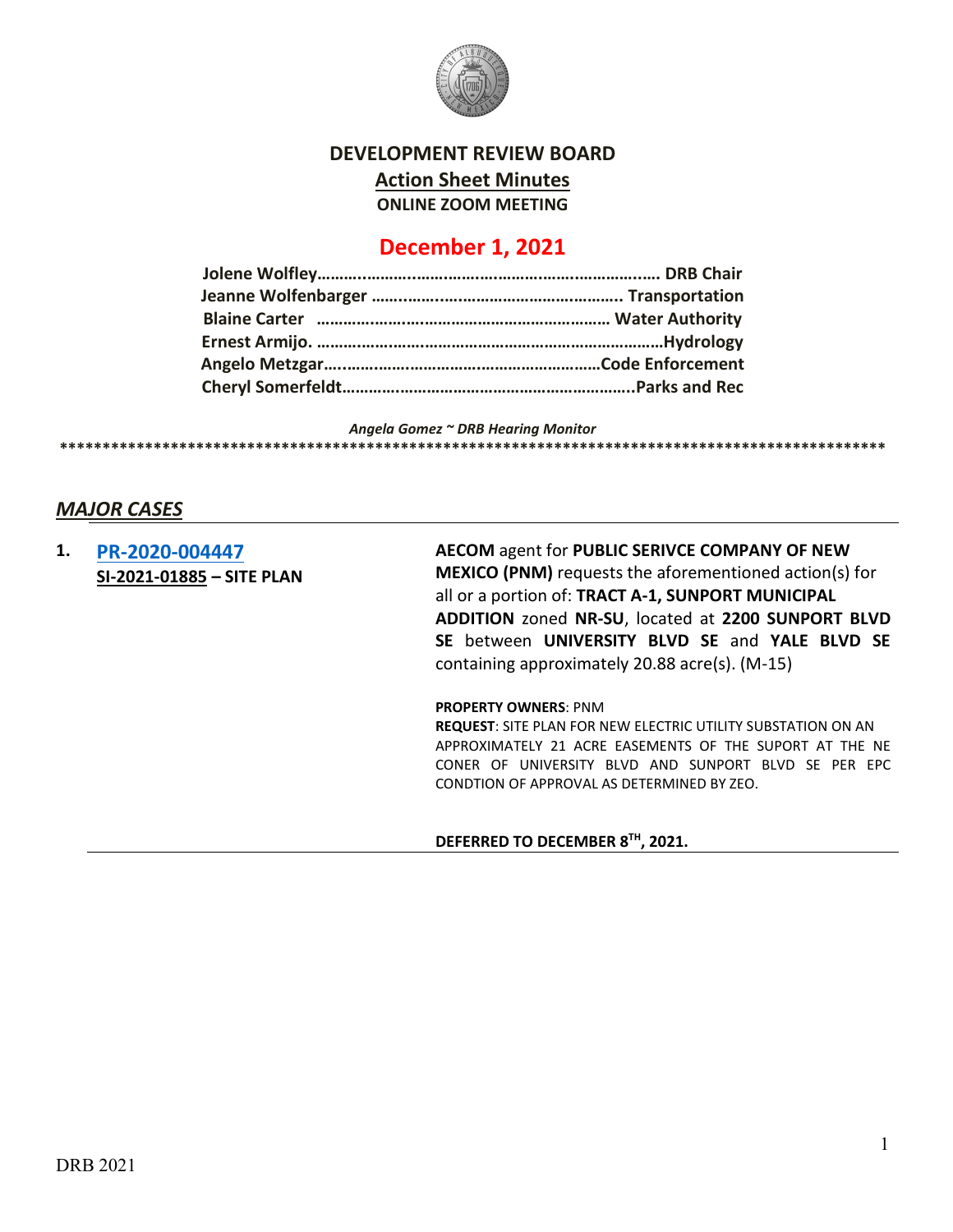

# **DEVELOPMENT REVIEW BOARD Action Sheet Minutes ONLINE ZOOM MEETING**

# **December 1, 2021**

*Angela Gomez ~ DRB Hearing Monitor* **\*\*\*\*\*\*\*\*\*\*\*\*\*\*\*\*\*\*\*\*\*\*\*\*\*\*\*\*\*\*\*\*\*\*\*\*\*\*\*\*\*\*\*\*\*\*\*\*\*\*\*\*\*\*\*\*\*\*\*\*\*\*\*\*\*\*\*\*\*\*\*\*\*\*\*\*\*\*\*\*\*\*\*\*\*\*\*\*\*\*\*\*\*\*\*\*\***

## *MAJOR CASES*

**1. [PR-2020-004447](http://data.cabq.gov/government/planning/DRB/PR-2020-004447/DRB%20Submittals/PR-2020-004447_%20Dec_1_2021/Application/SAGEBRUSH%20SUBSTATION%20DRB%20APPLICATION%20(1).pdf) SI-2021-01885 – SITE PLAN**  **AECOM** agent for **PUBLIC SERIVCE COMPANY OF NEW MEXICO (PNM)** requests the aforementioned action(s) for all or a portion of: **TRACT A-1, SUNPORT MUNICIPAL ADDITION** zoned **NR-SU**, located at **2200 SUNPORT BLVD SE** between **UNIVERSITY BLVD SE** and **YALE BLVD SE** containing approximately 20.88 acre(s). (M-15)

**PROPERTY OWNERS**: PNM

**REQUEST**: SITE PLAN FOR NEW ELECTRIC UTILITY SUBSTATION ON AN APPROXIMATELY 21 ACRE EASEMENTS OF THE SUPORT AT THE NE CONER OF UNIVERSITY BLVD AND SUNPORT BLVD SE PER EPC CONDTION OF APPROVAL AS DETERMINED BY ZEO.

#### **DEFERRED TO DECEMBER 8TH, 2021.**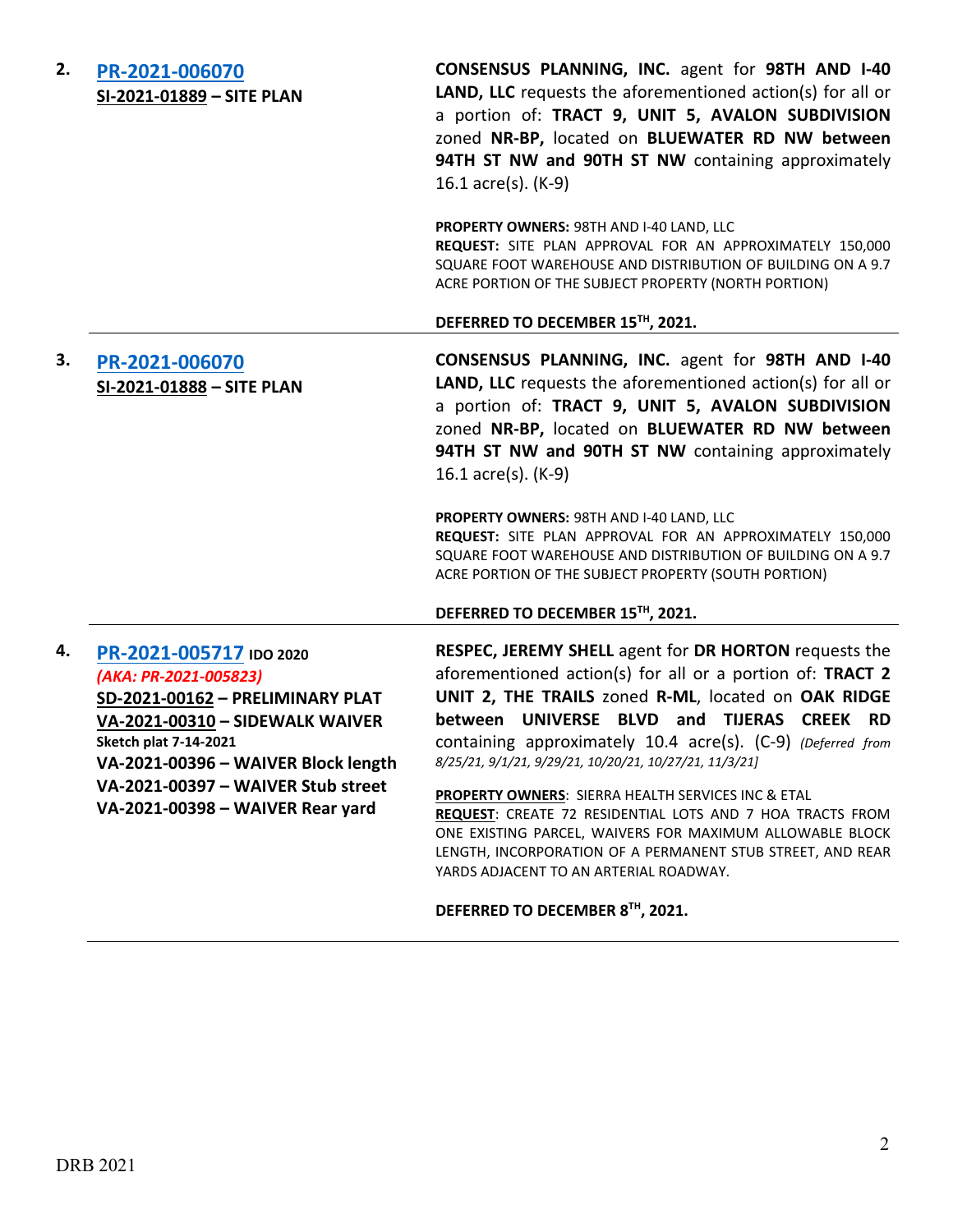| 2. | PR-2021-006070            |  |  |
|----|---------------------------|--|--|
|    | SI-2021-01889 - SITE PLAN |  |  |

**CONSENSUS PLANNING, INC.** agent for **98TH AND I-40 LAND, LLC** requests the aforementioned action(s) for all or a portion of: **TRACT 9, UNIT 5, AVALON SUBDIVISION**  zoned **NR-BP,** located on **BLUEWATER RD NW between 94TH ST NW and 90TH ST NW** containing approximately 16.1 acre(s). (K-9)

**PROPERTY OWNERS:** 98TH AND I-40 LAND, LLC **REQUEST:** SITE PLAN APPROVAL FOR AN APPROXIMATELY 150,000 SQUARE FOOT WAREHOUSE AND DISTRIBUTION OF BUILDING ON A 9.7 ACRE PORTION OF THE SUBJECT PROPERTY (NORTH PORTION)

#### **DEFERRED TO DECEMBER 15TH, 2021.**

# **3. [PR-2021-006070](http://data.cabq.gov/government/planning/DRB/PR-2021-006070/DRB%20Submittals/PR-2021-006070_Dec_1_2021%20(Site%20Plan%20x2)/Application/PR-2020-006070%20South%20Portion%20Site%20Plan%20DRB%20Application.pdf) SI-2021-01888 – SITE PLAN**

**CONSENSUS PLANNING, INC.** agent for **98TH AND I-40 LAND, LLC** requests the aforementioned action(s) for all or a portion of: **TRACT 9, UNIT 5, AVALON SUBDIVISION**  zoned **NR-BP,** located on **BLUEWATER RD NW between 94TH ST NW and 90TH ST NW** containing approximately 16.1 acre(s). (K-9)

**PROPERTY OWNERS:** 98TH AND I-40 LAND, LLC **REQUEST:** SITE PLAN APPROVAL FOR AN APPROXIMATELY 150,000 SQUARE FOOT WAREHOUSE AND DISTRIBUTION OF BUILDING ON A 9.7 ACRE PORTION OF THE SUBJECT PROPERTY (SOUTH PORTION)

#### **DEFERRED TO DECEMBER 15TH, 2021.**

## **4. [PR-2021-005717](http://data.cabq.gov/government/planning/DRB/PR-2021-005717/DRB%20Submittals/) IDO 2020** *(AKA: PR-2021-005823)*

**SD-2021-00162 – PRELIMINARY PLAT VA-2021-00310 – SIDEWALK WAIVER Sketch plat 7-14-2021 VA-2021-00396 – WAIVER Block length VA-2021-00397 – WAIVER Stub street VA-2021-00398 – WAIVER Rear yard**

**RESPEC, JEREMY SHELL** agent for **DR HORTON** requests the aforementioned action(s) for all or a portion of: **TRACT 2 UNIT 2, THE TRAILS** zoned **R-ML**, located on **OAK RIDGE between UNIVERSE BLVD and TIJERAS CREEK RD** containing approximately 10.4 acre(s). (C-9) *(Deferred from 8/25/21, 9/1/21, 9/29/21, 10/20/21, 10/27/21, 11/3/21]*

**PROPERTY OWNERS**: SIERRA HEALTH SERVICES INC & ETAL **REQUEST**: CREATE 72 RESIDENTIAL LOTS AND 7 HOA TRACTS FROM ONE EXISTING PARCEL, WAIVERS FOR MAXIMUM ALLOWABLE BLOCK LENGTH, INCORPORATION OF A PERMANENT STUB STREET, AND REAR YARDS ADJACENT TO AN ARTERIAL ROADWAY.

### **DEFERRED TO DECEMBER 8TH, 2021.**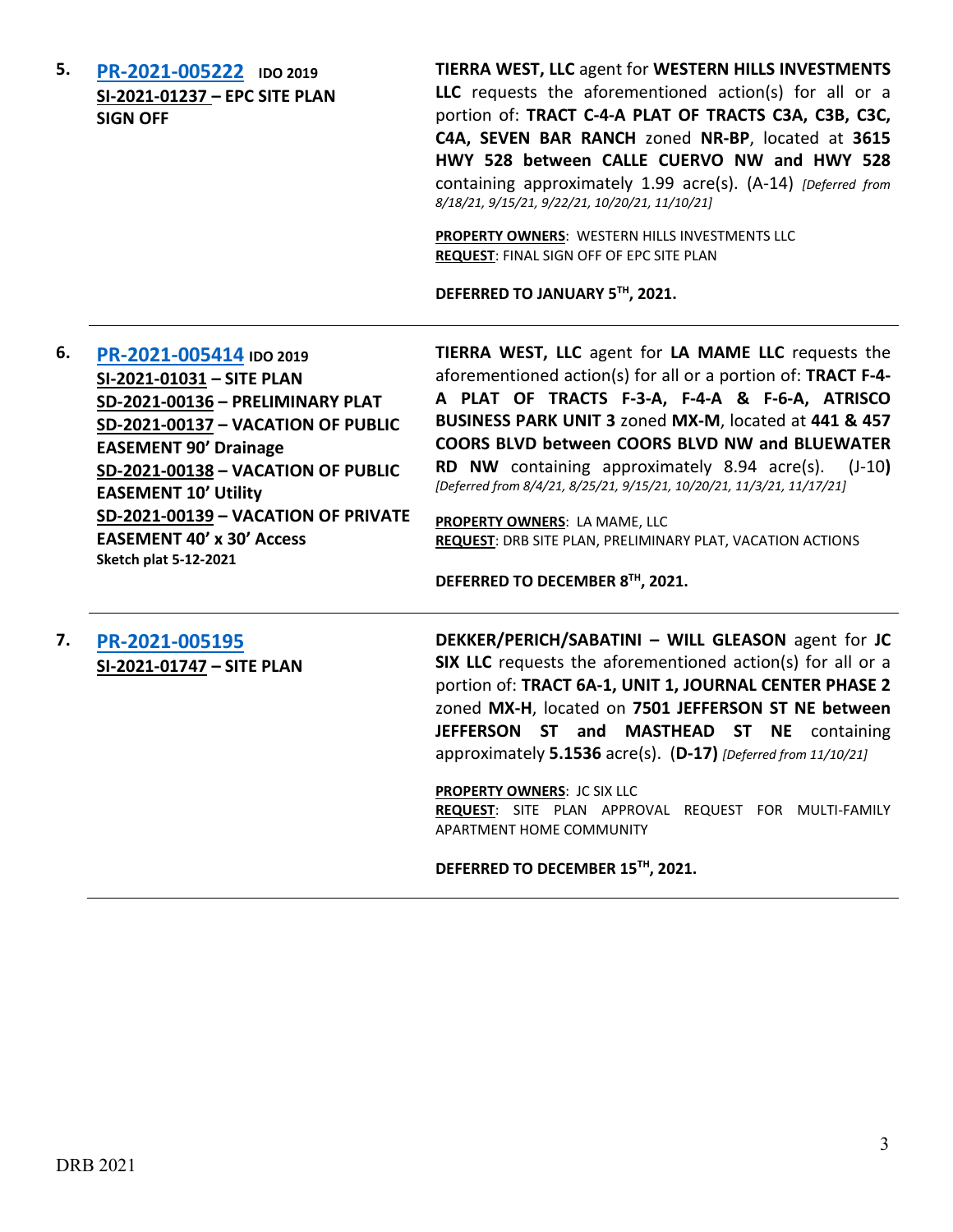**5. [PR-2021-005222](http://data.cabq.gov/government/planning/DRB/PR-2021-005222/DRB%20Submittals/) IDO 2019 SI-2021-01237 – EPC SITE PLAN SIGN OFF**

**TIERRA WEST, LLC** agent for **WESTERN HILLS INVESTMENTS LLC** requests the aforementioned action(s) for all or a portion of: **TRACT C-4-A PLAT OF TRACTS C3A, C3B, C3C, C4A, SEVEN BAR RANCH** zoned **NR-BP**, located at **3615 HWY 528 between CALLE CUERVO NW and HWY 528** containing approximately 1.99 acre(s). (A-14) *[Deferred from 8/18/21, 9/15/21, 9/22/21, 10/20/21, 11/10/21]*

**PROPERTY OWNERS**: WESTERN HILLS INVESTMENTS LLC **REQUEST**: FINAL SIGN OFF OF EPC SITE PLAN

**DEFERRED TO JANUARY 5TH, 2021.**

**6. [PR-2021-005414](http://data.cabq.gov/government/planning/DRB/PR-2021-005414/DRB%20Submittals/) IDO 2019 SI-2021-01031 – SITE PLAN SD-2021-00136 – PRELIMINARY PLAT SD-2021-00137 – VACATION OF PUBLIC EASEMENT 90' Drainage SD-2021-00138 – VACATION OF PUBLIC EASEMENT 10' Utility SD-2021-00139 – VACATION OF PRIVATE EASEMENT 40' x 30' Access Sketch plat 5-12-2021**

**TIERRA WEST, LLC** agent for **LA MAME LLC** requests the aforementioned action(s) for all or a portion of: **TRACT F-4- A PLAT OF TRACTS F-3-A, F-4-A & F-6-A, ATRISCO BUSINESS PARK UNIT 3** zoned **MX-M**, located at **441 & 457 COORS BLVD between COORS BLVD NW and BLUEWATER RD NW** containing approximately 8.94 acre(s). (J-10**)**  *[Deferred from 8/4/21, 8/25/21, 9/15/21, 10/20/21, 11/3/21, 11/17/21]*

**PROPERTY OWNERS**: LA MAME, LLC **REQUEST**: DRB SITE PLAN, PRELIMINARY PLAT, VACATION ACTIONS

**DEFERRED TO DECEMBER 8TH, 2021.**

**7. [PR-2021-005195](http://data.cabq.gov/government/planning/DRB/PR-2021-005195/DRB%20Submittals/) SI-2021-01747 – SITE PLAN** **DEKKER/PERICH/SABATINI – WILL GLEASON** agent for **JC SIX LLC** requests the aforementioned action(s) for all or a portion of: **TRACT 6A-1, UNIT 1, JOURNAL CENTER PHASE 2** zoned **MX-H**, located on **7501 JEFFERSON ST NE between JEFFERSON ST and MASTHEAD ST NE** containing approximately **5.1536** acre(s). (**D-17)** *[Deferred from 11/10/21]*

**PROPERTY OWNERS**: JC SIX LLC **REQUEST**: SITE PLAN APPROVAL REQUEST FOR MULTI-FAMILY APARTMENT HOME COMMUNITY

**DEFERRED TO DECEMBER 15TH, 2021.**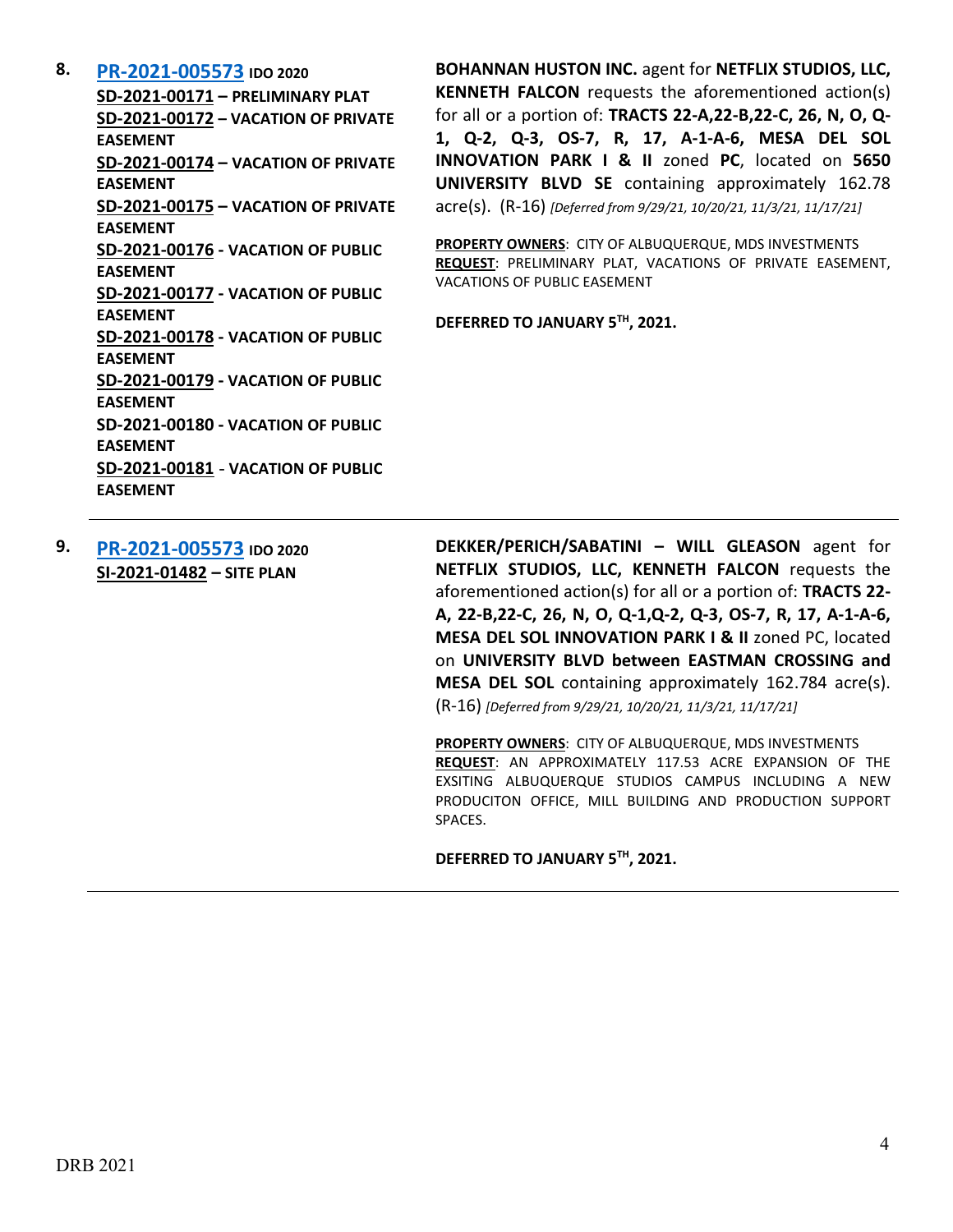**8. [PR-2021-005573](http://data.cabq.gov/government/planning/DRB/PR-2021-005573/DRB%20Submittals/) IDO 2020**

**SD-2021-00171 – PRELIMINARY PLAT SD-2021-00172 – VACATION OF PRIVATE EASEMENT SD-2021-00174 – VACATION OF PRIVATE EASEMENT SD-2021-00175 – VACATION OF PRIVATE EASEMENT SD-2021-00176 - VACATION OF PUBLIC EASEMENT SD-2021-00177 - VACATION OF PUBLIC EASEMENT SD-2021-00178 - VACATION OF PUBLIC EASEMENT SD-2021-00179 - VACATION OF PUBLIC EASEMENT SD-2021-00180 - VACATION OF PUBLIC EASEMENT SD-2021-00181** - **VACATION OF PUBLIC EASEMENT**

**BOHANNAN HUSTON INC.** agent for **NETFLIX STUDIOS, LLC, KENNETH FALCON** requests the aforementioned action(s) for all or a portion of: **TRACTS 22-A,22-B,22-C, 26, N, O, Q-1, Q-2, Q-3, OS-7, R, 17, A-1-A-6, MESA DEL SOL INNOVATION PARK I & II** zoned **PC**, located on **5650 UNIVERSITY BLVD SE** containing approximately 162.78 acre(s). (R-16) *[Deferred from 9/29/21, 10/20/21, 11/3/21, 11/17/21]*

**PROPERTY OWNERS**: CITY OF ALBUQUERQUE, MDS INVESTMENTS **REQUEST**: PRELIMINARY PLAT, VACATIONS OF PRIVATE EASEMENT, VACATIONS OF PUBLIC EASEMENT

**DEFERRED TO JANUARY 5TH, 2021.**

**9. [PR-2021-005573](http://data.cabq.gov/government/planning/DRB/PR-2021-005573/DRB%20Submittals/) IDO 2020 SI-2021-01482 – SITE PLAN**

**DEKKER/PERICH/SABATINI – WILL GLEASON** agent for **NETFLIX STUDIOS, LLC, KENNETH FALCON** requests the aforementioned action(s) for all or a portion of: **TRACTS 22- A, 22-B,22-C, 26, N, O, Q-1,Q-2, Q-3, OS-7, R, 17, A-1-A-6, MESA DEL SOL INNOVATION PARK I & II** zoned PC, located on **UNIVERSITY BLVD between EASTMAN CROSSING and MESA DEL SOL** containing approximately 162.784 acre(s). (R-16) *[Deferred from 9/29/21, 10/20/21, 11/3/21, 11/17/21]*

**PROPERTY OWNERS**: CITY OF ALBUQUERQUE, MDS INVESTMENTS **REQUEST**: AN APPROXIMATELY 117.53 ACRE EXPANSION OF THE EXSITING ALBUQUERQUE STUDIOS CAMPUS INCLUDING A NEW PRODUCITON OFFICE, MILL BUILDING AND PRODUCTION SUPPORT SPACES.

**DEFERRED TO JANUARY 5TH, 2021.**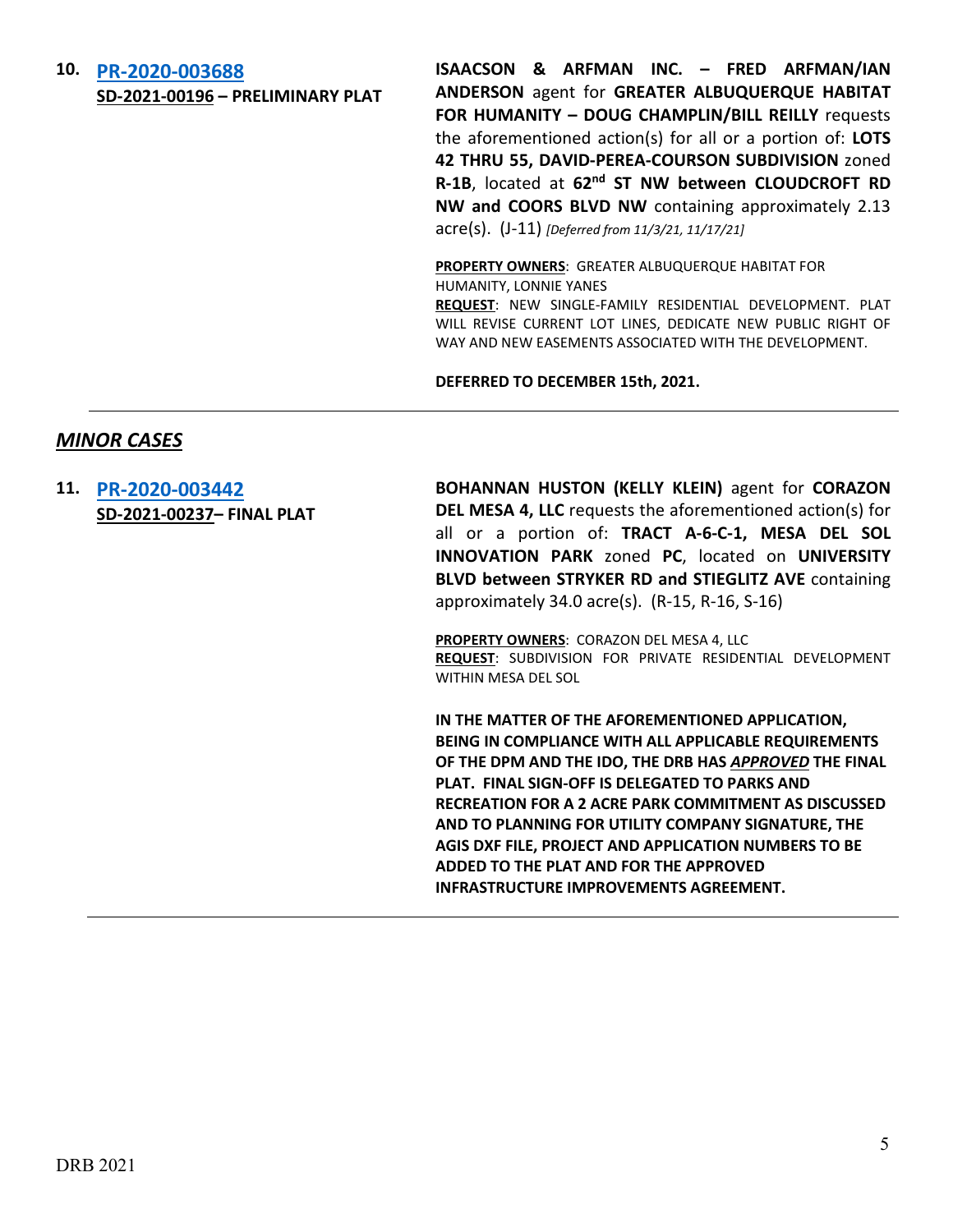# **10. [PR-2020-003688](http://data.cabq.gov/government/planning/DRB/PR-2020-003688/DRB%20Submittals/) SD-2021-00196 – PRELIMINARY PLAT**

**ISAACSON & ARFMAN INC. – FRED ARFMAN/IAN ANDERSON** agent for **GREATER ALBUQUERQUE HABITAT FOR HUMANITY – DOUG CHAMPLIN/BILL REILLY** requests the aforementioned action(s) for all or a portion of: **LOTS 42 THRU 55, DAVID-PEREA-COURSON SUBDIVISION** zoned **R-1B**, located at **62nd ST NW between CLOUDCROFT RD NW and COORS BLVD NW** containing approximately 2.13 acre(s). (J-11) *[Deferred from 11/3/21, 11/17/21]*

**PROPERTY OWNERS**: GREATER ALBUQUERQUE HABITAT FOR HUMANITY, LONNIE YANES

**REQUEST**: NEW SINGLE-FAMILY RESIDENTIAL DEVELOPMENT. PLAT WILL REVISE CURRENT LOT LINES, DEDICATE NEW PUBLIC RIGHT OF WAY AND NEW EASEMENTS ASSOCIATED WITH THE DEVELOPMENT.

**DEFERRED TO DECEMBER 15th, 2021.**

## *MINOR CASES*

**11. [PR-2020-003442](http://data.cabq.gov/government/planning/DRB/PR-2020-003442/DRB%20Submittals/PR-2020-003442%20_%20DEC_1_2021%20(FP)/Montage%204%20Final%20Plat%20submittal.pdf) SD-2021-00237– FINAL PLAT** **BOHANNAN HUSTON (KELLY KLEIN)** agent for **CORAZON DEL MESA 4, LLC** requests the aforementioned action(s) for all or a portion of: **TRACT A-6-C-1, MESA DEL SOL INNOVATION PARK** zoned **PC**, located on **UNIVERSITY BLVD between STRYKER RD and STIEGLITZ AVE** containing approximately 34.0 acre(s). (R-15, R-16, S-16)

**PROPERTY OWNERS**: CORAZON DEL MESA 4, LLC **REQUEST**: SUBDIVISION FOR PRIVATE RESIDENTIAL DEVELOPMENT WITHIN MESA DEL SOL

**IN THE MATTER OF THE AFOREMENTIONED APPLICATION, BEING IN COMPLIANCE WITH ALL APPLICABLE REQUIREMENTS OF THE DPM AND THE IDO, THE DRB HAS** *APPROVED* **THE FINAL PLAT. FINAL SIGN-OFF IS DELEGATED TO PARKS AND RECREATION FOR A 2 ACRE PARK COMMITMENT AS DISCUSSED AND TO PLANNING FOR UTILITY COMPANY SIGNATURE, THE AGIS DXF FILE, PROJECT AND APPLICATION NUMBERS TO BE ADDED TO THE PLAT AND FOR THE APPROVED INFRASTRUCTURE IMPROVEMENTS AGREEMENT.**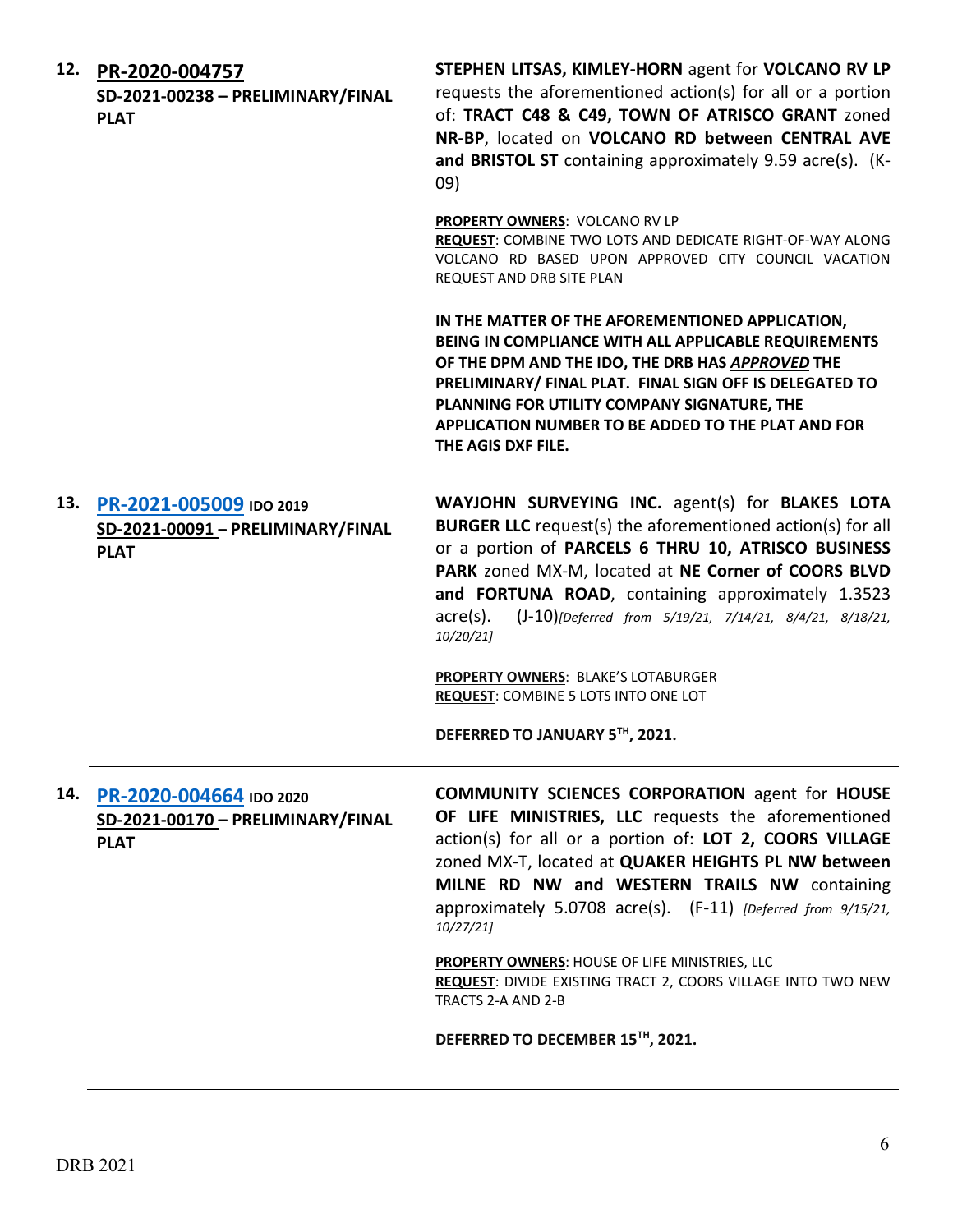|     | 12. PR-2020-004757<br>SD-2021-00238 - PRELIMINARY/FINAL<br><b>PLAT</b>      | STEPHEN LITSAS, KIMLEY-HORN agent for VOLCANO RV LP<br>requests the aforementioned action(s) for all or a portion<br>of: TRACT C48 & C49, TOWN OF ATRISCO GRANT zoned<br>NR-BP, located on VOLCANO RD between CENTRAL AVE<br>and BRISTOL ST containing approximately 9.59 acre(s). (K-<br>09)                                                                                           |
|-----|-----------------------------------------------------------------------------|-----------------------------------------------------------------------------------------------------------------------------------------------------------------------------------------------------------------------------------------------------------------------------------------------------------------------------------------------------------------------------------------|
|     |                                                                             | PROPERTY OWNERS: VOLCANO RV LP<br>REQUEST: COMBINE TWO LOTS AND DEDICATE RIGHT-OF-WAY ALONG<br>VOLCANO RD BASED UPON APPROVED CITY COUNCIL VACATION<br>REQUEST AND DRB SITE PLAN                                                                                                                                                                                                        |
|     |                                                                             | IN THE MATTER OF THE AFOREMENTIONED APPLICATION,<br>BEING IN COMPLIANCE WITH ALL APPLICABLE REQUIREMENTS<br>OF THE DPM AND THE IDO, THE DRB HAS APPROVED THE<br>PRELIMINARY/ FINAL PLAT. FINAL SIGN OFF IS DELEGATED TO<br>PLANNING FOR UTILITY COMPANY SIGNATURE, THE<br>APPLICATION NUMBER TO BE ADDED TO THE PLAT AND FOR<br>THE AGIS DXF FILE.                                      |
| 13. | PR-2021-005009 IDO 2019<br>SD-2021-00091 - PRELIMINARY/FINAL<br><b>PLAT</b> | WAYJOHN SURVEYING INC. agent(s) for BLAKES LOTA<br><b>BURGER LLC</b> request(s) the aforementioned action(s) for all<br>or a portion of PARCELS 6 THRU 10, ATRISCO BUSINESS<br>PARK zoned MX-M, located at NE Corner of COORS BLVD<br>and FORTUNA ROAD, containing approximately 1.3523<br>(J-10)[Deferred from 5/19/21, 7/14/21, 8/4/21, 8/18/21,<br>$\alpha$ cre $(s)$ .<br>10/20/21] |
|     |                                                                             | <b>PROPERTY OWNERS: BLAKE'S LOTABURGER</b><br><b>REQUEST: COMBINE 5 LOTS INTO ONE LOT</b>                                                                                                                                                                                                                                                                                               |
|     |                                                                             | DEFERRED TO JANUARY 5TH, 2021.                                                                                                                                                                                                                                                                                                                                                          |
| 14. | PR-2020-004664 IDO 2020<br>SD-2021-00170 - PRELIMINARY/FINAL<br><b>PLAT</b> | <b>COMMUNITY SCIENCES CORPORATION agent for HOUSE</b><br>OF LIFE MINISTRIES, LLC requests the aforementioned<br>action(s) for all or a portion of: LOT 2, COORS VILLAGE<br>zoned MX-T, located at QUAKER HEIGHTS PL NW between<br>MILNE RD NW and WESTERN TRAILS NW containing<br>approximately 5.0708 acre(s). (F-11) [Deferred from 9/15/21,<br>10/27/21                              |
|     |                                                                             | PROPERTY OWNERS: HOUSE OF LIFE MINISTRIES, LLC<br>REQUEST: DIVIDE EXISTING TRACT 2, COORS VILLAGE INTO TWO NEW<br>TRACTS 2-A AND 2-B                                                                                                                                                                                                                                                    |
|     |                                                                             | DEFERRED TO DECEMBER 15TH, 2021.                                                                                                                                                                                                                                                                                                                                                        |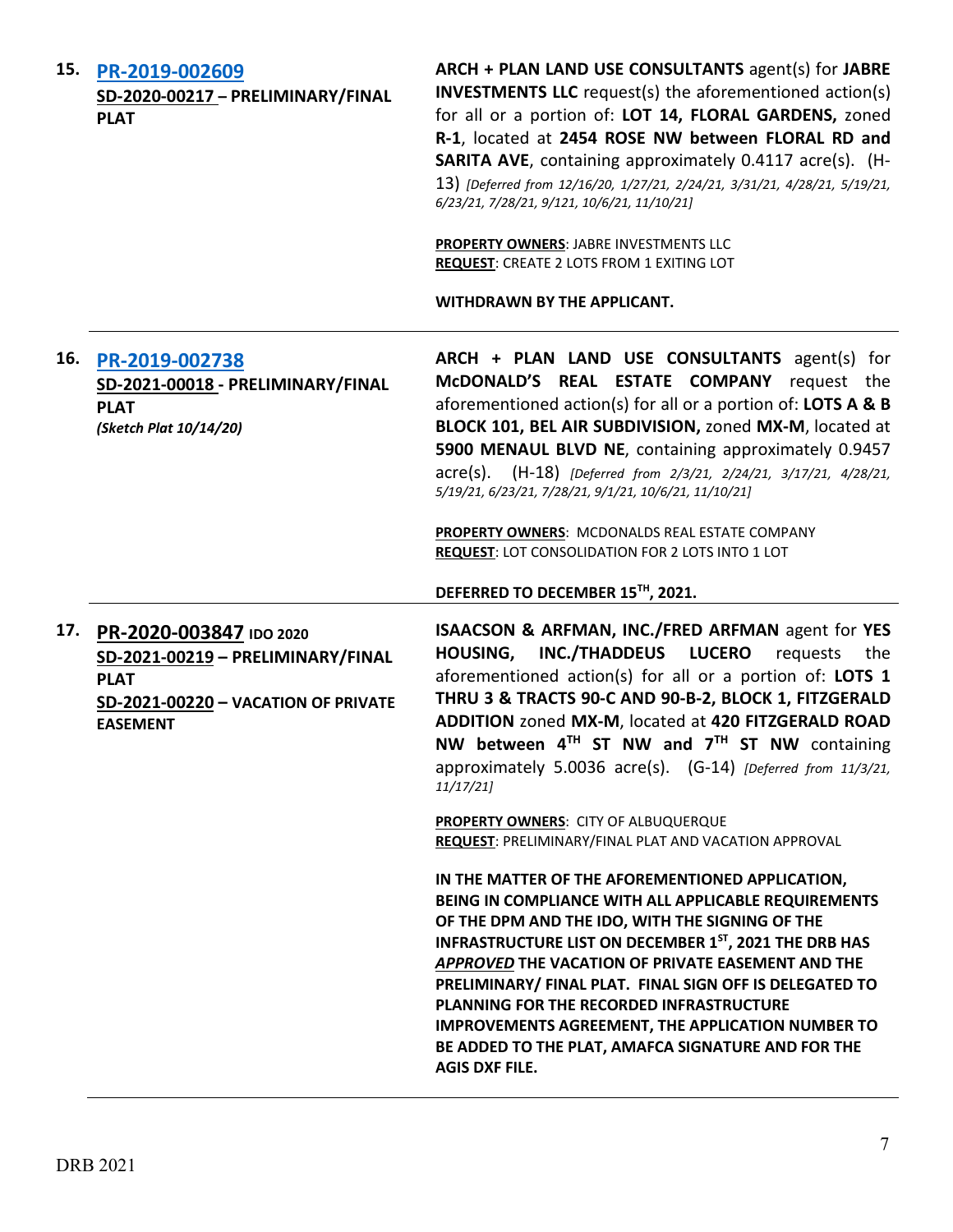| 15. | PR-2019-002609<br>SD-2020-00217 - PRELIMINARY/FINAL<br><b>PLAT</b>                                                                    | ARCH + PLAN LAND USE CONSULTANTS agent(s) for JABRE<br><b>INVESTMENTS LLC</b> request(s) the aforementioned action(s)<br>for all or a portion of: LOT 14, FLORAL GARDENS, zoned<br>R-1, located at 2454 ROSE NW between FLORAL RD and<br><b>SARITA AVE, containing approximately 0.4117 acre(s). (H-</b><br>13) [Deferred from 12/16/20, 1/27/21, 2/24/21, 3/31/21, 4/28/21, 5/19/21,<br>6/23/21, 7/28/21, 9/121, 10/6/21, 11/10/21]<br>PROPERTY OWNERS: JABRE INVESTMENTS LLC                                                     |
|-----|---------------------------------------------------------------------------------------------------------------------------------------|------------------------------------------------------------------------------------------------------------------------------------------------------------------------------------------------------------------------------------------------------------------------------------------------------------------------------------------------------------------------------------------------------------------------------------------------------------------------------------------------------------------------------------|
|     |                                                                                                                                       | <b>REQUEST: CREATE 2 LOTS FROM 1 EXITING LOT</b><br>WITHDRAWN BY THE APPLICANT.                                                                                                                                                                                                                                                                                                                                                                                                                                                    |
| 16. | PR-2019-002738<br>SD-2021-00018 - PRELIMINARY/FINAL<br><b>PLAT</b><br>(Sketch Plat 10/14/20)                                          | ARCH + PLAN LAND USE CONSULTANTS agent(s) for<br>McDONALD'S REAL ESTATE COMPANY request the<br>aforementioned action(s) for all or a portion of: LOTS A & B<br>BLOCK 101, BEL AIR SUBDIVISION, zoned MX-M, located at<br>5900 MENAUL BLVD NE, containing approximately 0.9457<br>acre(s). (H-18) [Deferred from 2/3/21, 2/24/21, 3/17/21, 4/28/21,<br>5/19/21, 6/23/21, 7/28/21, 9/1/21, 10/6/21, 11/10/21]<br>PROPERTY OWNERS: MCDONALDS REAL ESTATE COMPANY                                                                      |
|     |                                                                                                                                       | <b>REQUEST: LOT CONSOLIDATION FOR 2 LOTS INTO 1 LOT</b>                                                                                                                                                                                                                                                                                                                                                                                                                                                                            |
|     |                                                                                                                                       | DEFERRED TO DECEMBER 15TH, 2021.                                                                                                                                                                                                                                                                                                                                                                                                                                                                                                   |
| 17. | PR-2020-003847 IDO 2020<br>SD-2021-00219 - PRELIMINARY/FINAL<br><b>PLAT</b><br>SD-2021-00220 - VACATION OF PRIVATE<br><b>EASEMENT</b> | ISAACSON & ARFMAN, INC./FRED ARFMAN agent for YES<br><b>HOUSING,</b><br><b>INC./THADDEUS</b><br><b>LUCERO</b><br>requests<br>the<br>aforementioned action(s) for all or a portion of: LOTS 1<br>THRU 3 & TRACTS 90-C AND 90-B-2, BLOCK 1, FITZGERALD<br>ADDITION zoned MX-M, located at 420 FITZGERALD ROAD<br>NW between 4TH ST NW and 7TH ST NW containing<br>approximately 5.0036 acre(s). (G-14) [Deferred from 11/3/21,<br>11/17/21                                                                                           |
|     |                                                                                                                                       | PROPERTY OWNERS: CITY OF ALBUQUERQUE<br>REQUEST: PRELIMINARY/FINAL PLAT AND VACATION APPROVAL                                                                                                                                                                                                                                                                                                                                                                                                                                      |
|     |                                                                                                                                       | IN THE MATTER OF THE AFOREMENTIONED APPLICATION,<br>BEING IN COMPLIANCE WITH ALL APPLICABLE REQUIREMENTS<br>OF THE DPM AND THE IDO, WITH THE SIGNING OF THE<br><b>INFRASTRUCTURE LIST ON DECEMBER 1ST, 2021 THE DRB HAS</b><br>APPROVED THE VACATION OF PRIVATE EASEMENT AND THE<br>PRELIMINARY/ FINAL PLAT. FINAL SIGN OFF IS DELEGATED TO<br>PLANNING FOR THE RECORDED INFRASTRUCTURE<br><b>IMPROVEMENTS AGREEMENT, THE APPLICATION NUMBER TO</b><br>BE ADDED TO THE PLAT, AMAFCA SIGNATURE AND FOR THE<br><b>AGIS DXF FILE.</b> |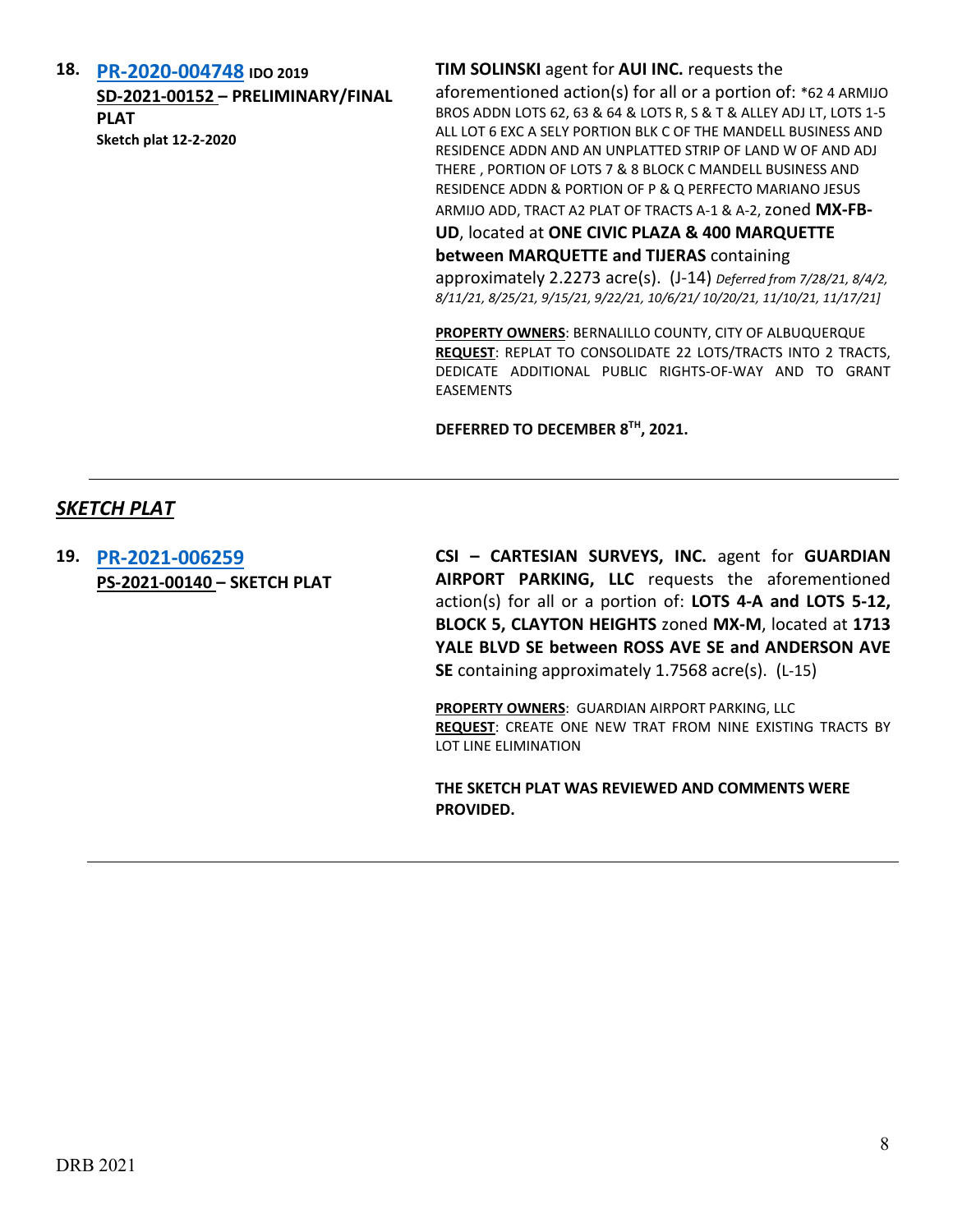**18. [PR-2020-004748](http://data.cabq.gov/government/planning/DRB/PR-2020-004748/DRB%20Submittals/) IDO 2019**

**SD-2021-00152 – PRELIMINARY/FINAL PLAT Sketch plat 12-2-2020**

### **TIM SOLINSKI** agent for **AUI INC.** requests the

aforementioned action(s) for all or a portion of: \*62 4 ARMIJO BROS ADDN LOTS 62, 63 & 64 & LOTS R, S & T & ALLEY ADJ LT, LOTS 1-5 ALL LOT 6 EXC A SELY PORTION BLK C OF THE MANDELL BUSINESS AND RESIDENCE ADDN AND AN UNPLATTED STRIP OF LAND W OF AND ADJ THERE , PORTION OF LOTS 7 & 8 BLOCK C MANDELL BUSINESS AND RESIDENCE ADDN & PORTION OF P & Q PERFECTO MARIANO JESUS ARMIJO ADD, TRACT A2 PLAT OF TRACTS A-1 & A-2,zoned **MX-FB-**

**UD**, located at **ONE CIVIC PLAZA & 400 MARQUETTE** 

**between MARQUETTE and TIJERAS** containing

approximately 2.2273 acre(s). (J-14) *Deferred from 7/28/21, 8/4/2, 8/11/21, 8/25/21, 9/15/21, 9/22/21, 10/6/21/ 10/20/21, 11/10/21, 11/17/21]*

**PROPERTY OWNERS**: BERNALILLO COUNTY, CITY OF ALBUQUERQUE **REQUEST**: REPLAT TO CONSOLIDATE 22 LOTS/TRACTS INTO 2 TRACTS, DEDICATE ADDITIONAL PUBLIC RIGHTS-OF-WAY AND TO GRANT EASEMENTS

**DEFERRED TO DECEMBER 8TH, 2021.**

# *SKETCH PLAT*

**19. [PR-2021-006259](http://data.cabq.gov/government/planning/DRB/PR-2021-006259/DRB%20Submittals/PR-2021-006259_%20_Dec_1_2021%20(Sketch)/Application/211153-Sk_Plat_App%20(004).pdf) PS-2021-00140 – SKETCH PLAT** **CSI – CARTESIAN SURVEYS, INC.** agent for **GUARDIAN AIRPORT PARKING, LLC** requests the aforementioned action(s) for all or a portion of: **LOTS 4-A and LOTS 5-12, BLOCK 5, CLAYTON HEIGHTS** zoned **MX-M**, located at **1713 YALE BLVD SE between ROSS AVE SE and ANDERSON AVE SE** containing approximately 1.7568 acre(s). (L-15)

**PROPERTY OWNERS**: GUARDIAN AIRPORT PARKING, LLC **REQUEST**: CREATE ONE NEW TRAT FROM NINE EXISTING TRACTS BY LOT LINE ELIMINATION

**THE SKETCH PLAT WAS REVIEWED AND COMMENTS WERE PROVIDED.**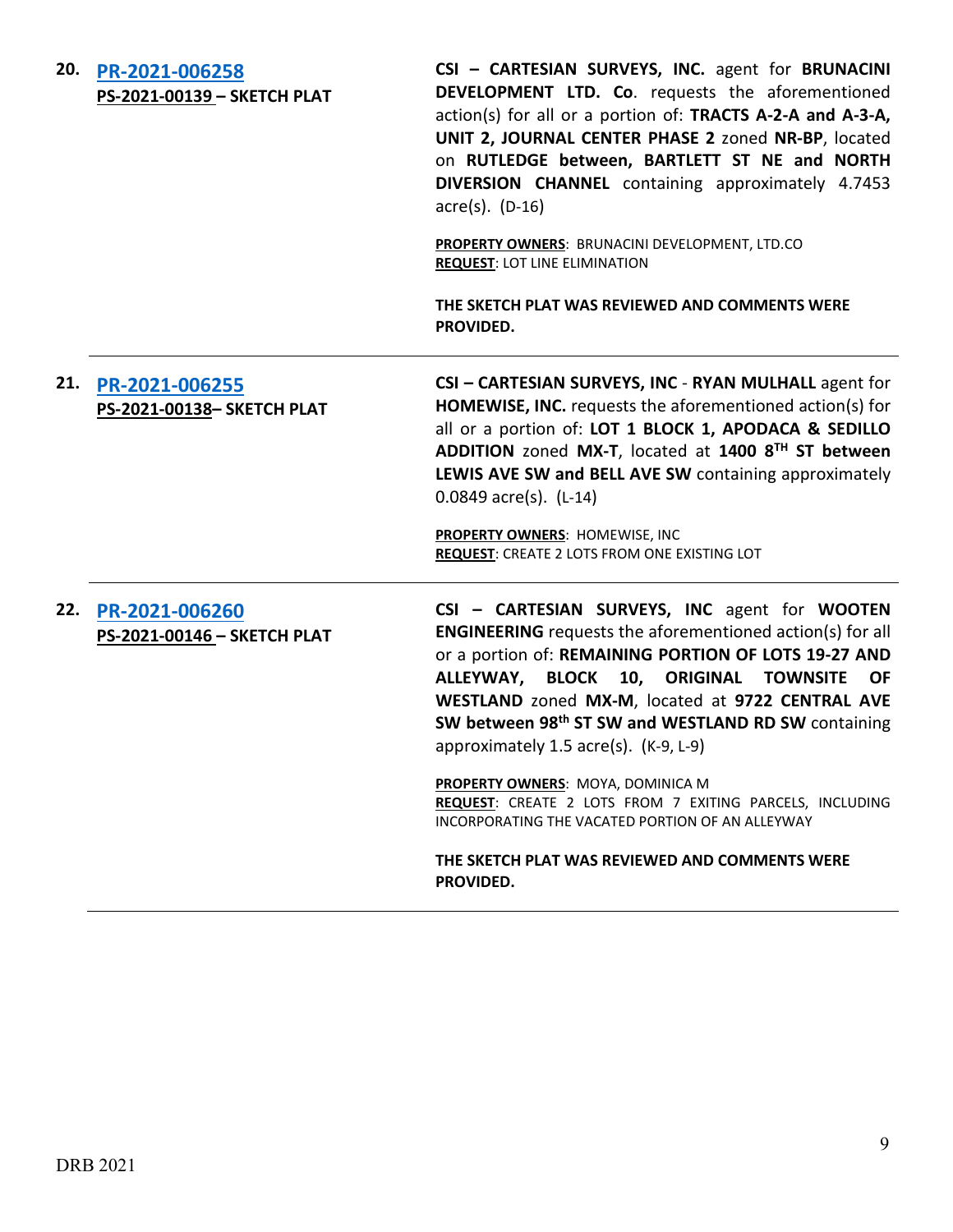| 20. | PR-2021-006258<br>PS-2021-00139 - SKETCH PLAT    | CSI - CARTESIAN SURVEYS, INC. agent for BRUNACINI<br>DEVELOPMENT LTD. Co. requests the aforementioned<br>action(s) for all or a portion of: TRACTS A-2-A and A-3-A,<br>UNIT 2, JOURNAL CENTER PHASE 2 zoned NR-BP, located<br>on RUTLEDGE between, BARTLETT ST NE and NORTH<br>DIVERSION CHANNEL containing approximately 4.7453<br>$\arccos(5)$ . (D-16)<br>PROPERTY OWNERS: BRUNACINI DEVELOPMENT, LTD.CO<br><b>REQUEST: LOT LINE ELIMINATION</b><br>THE SKETCH PLAT WAS REVIEWED AND COMMENTS WERE<br>PROVIDED.                                                                                      |
|-----|--------------------------------------------------|---------------------------------------------------------------------------------------------------------------------------------------------------------------------------------------------------------------------------------------------------------------------------------------------------------------------------------------------------------------------------------------------------------------------------------------------------------------------------------------------------------------------------------------------------------------------------------------------------------|
|     | 21. PR-2021-006255<br>PS-2021-00138- SKETCH PLAT | CSI - CARTESIAN SURVEYS, INC - RYAN MULHALL agent for<br><b>HOMEWISE, INC.</b> requests the aforementioned action(s) for<br>all or a portion of: LOT 1 BLOCK 1, APODACA & SEDILLO<br>ADDITION zoned MX-T, located at 1400 8TH ST between<br>LEWIS AVE SW and BELL AVE SW containing approximately<br>$0.0849$ acre(s). (L-14)<br>PROPERTY OWNERS: HOMEWISE, INC<br>REQUEST: CREATE 2 LOTS FROM ONE EXISTING LOT                                                                                                                                                                                         |
| 22. | PR-2021-006260<br>PS-2021-00146 - SKETCH PLAT    | CSI - CARTESIAN SURVEYS, INC agent for WOOTEN<br><b>ENGINEERING</b> requests the aforementioned action(s) for all<br>or a portion of: REMAINING PORTION OF LOTS 19-27 AND<br>ALLEYWAY, BLOCK 10, ORIGINAL TOWNSITE<br><b>OF</b><br>WESTLAND zoned MX-M, located at 9722 CENTRAL AVE<br>SW between 98th ST SW and WESTLAND RD SW containing<br>approximately 1.5 acre(s). (K-9, L-9)<br>PROPERTY OWNERS: MOYA, DOMINICA M<br>REQUEST: CREATE 2 LOTS FROM 7 EXITING PARCELS, INCLUDING<br>INCORPORATING THE VACATED PORTION OF AN ALLEYWAY<br>THE SKETCH PLAT WAS REVIEWED AND COMMENTS WERE<br>PROVIDED. |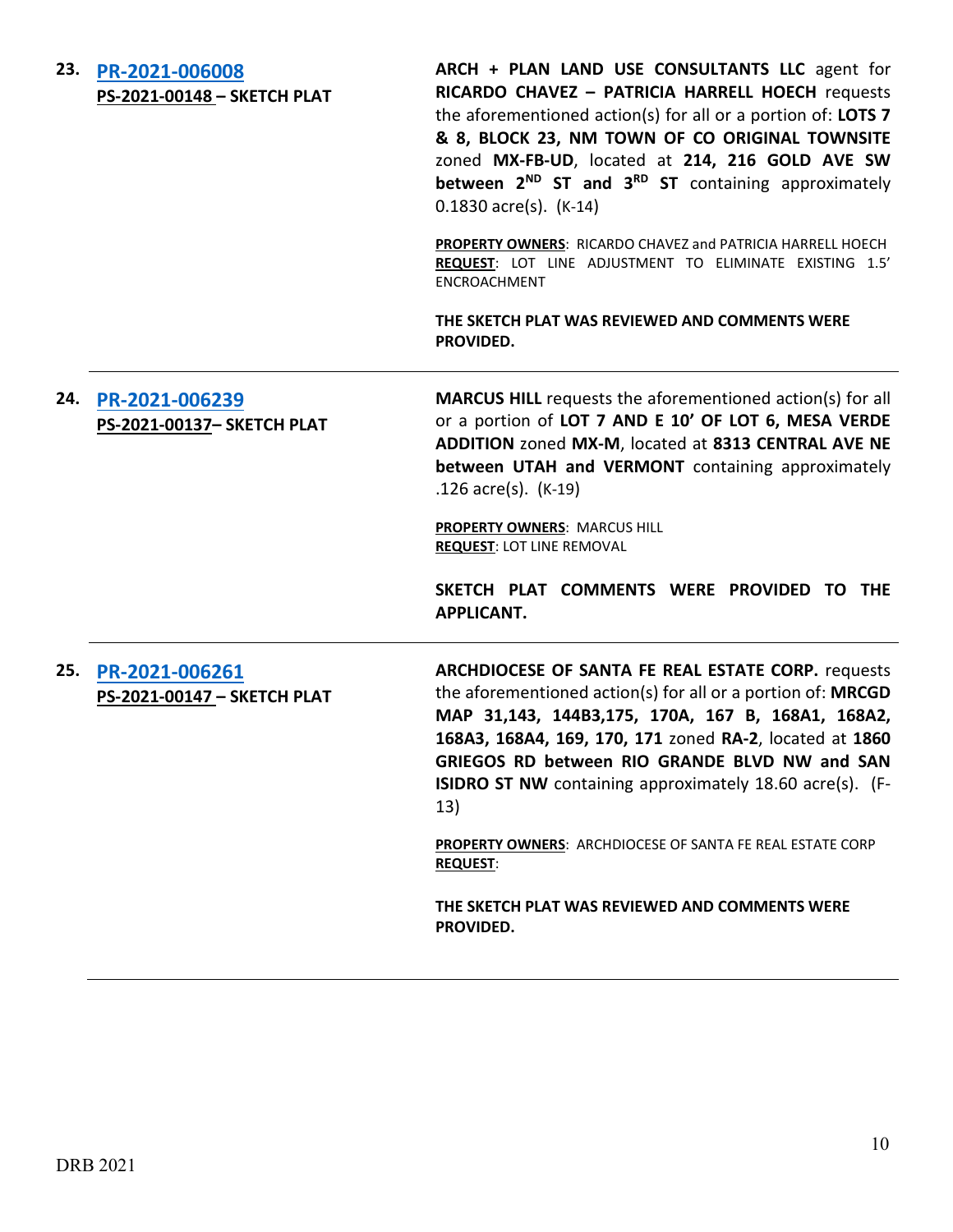| 23. | PR-2021-006008<br>PS-2021-00148 - SKETCH PLAT    | ARCH + PLAN LAND USE CONSULTANTS LLC agent for<br>RICARDO CHAVEZ - PATRICIA HARRELL HOECH requests<br>the aforementioned action(s) for all or a portion of: LOTS 7<br>& 8, BLOCK 23, NM TOWN OF CO ORIGINAL TOWNSITE<br>zoned MX-FB-UD, located at 214, 216 GOLD AVE SW<br>between 2 <sup>ND</sup> ST and 3 <sup>RD</sup> ST containing approximately<br>$0.1830$ acre(s). (K-14)                                                            |
|-----|--------------------------------------------------|----------------------------------------------------------------------------------------------------------------------------------------------------------------------------------------------------------------------------------------------------------------------------------------------------------------------------------------------------------------------------------------------------------------------------------------------|
|     |                                                  | <b>PROPERTY OWNERS: RICARDO CHAVEZ and PATRICIA HARRELL HOECH</b><br>REQUEST: LOT LINE ADJUSTMENT TO ELIMINATE EXISTING 1.5'<br>ENCROACHMENT                                                                                                                                                                                                                                                                                                 |
|     |                                                  | THE SKETCH PLAT WAS REVIEWED AND COMMENTS WERE<br>PROVIDED.                                                                                                                                                                                                                                                                                                                                                                                  |
|     | 24. PR-2021-006239<br>PS-2021-00137- SKETCH PLAT | MARCUS HILL requests the aforementioned action(s) for all<br>or a portion of LOT 7 AND E 10' OF LOT 6, MESA VERDE<br>ADDITION zoned MX-M, located at 8313 CENTRAL AVE NE<br>between UTAH and VERMONT containing approximately<br>.126 $\arccos $ . (K-19)<br><b>PROPERTY OWNERS: MARCUS HILL</b><br><b>REQUEST: LOT LINE REMOVAL</b><br>SKETCH PLAT COMMENTS WERE PROVIDED TO THE<br><b>APPLICANT.</b>                                       |
| 25. | PR-2021-006261<br>PS-2021-00147 - SKETCH PLAT    | ARCHDIOCESE OF SANTA FE REAL ESTATE CORP. requests<br>the aforementioned action(s) for all or a portion of: MRCGD<br>MAP 31,143, 144B3,175, 170A, 167 B, 168A1, 168A2,<br>168A3, 168A4, 169, 170, 171 zoned RA-2, located at 1860<br>GRIEGOS RD between RIO GRANDE BLVD NW and SAN<br>ISIDRO ST NW containing approximately 18.60 acre(s). (F-<br>13)<br><b>PROPERTY OWNERS: ARCHDIOCESE OF SANTA FE REAL ESTATE CORP</b><br><b>REQUEST:</b> |

**THE SKETCH PLAT WAS REVIEWED AND COMMENTS WERE PROVIDED.**